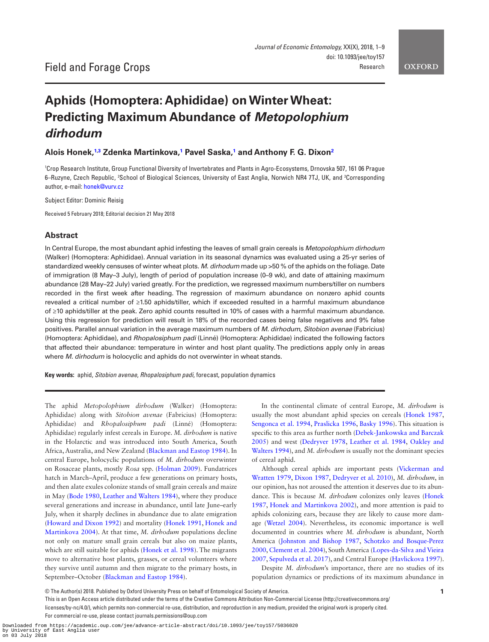**OXFORD** 

# **Aphids (Homoptera: Aphididae) on Winter Wheat: Predicting Maximum Abundance of** *Metopolophium dirhodum*

**Alois Honek, [1,](#page-0-0)[3](#page-0-1) Zdenka Martinkova, [1](#page-0-0) Pavel Saska, [1](#page-0-0) and Anthony F. G. Dixo[n2](#page-0-2)**

<span id="page-0-2"></span><span id="page-0-1"></span><span id="page-0-0"></span>1 Crop Research Institute, Group Functional Diversity of Invertebrates and Plants in Agro-Ecosystems, Drnovska 507, 161 06 Prague 6–Ruzyne, Czech Republic, <sup>z</sup>School of Biological Sciences, University of East Anglia, Norwich NR4 7TJ, UK, and <sup>3</sup>Corresponding author, e-mail: [honek@vurv.cz](mailto:honek@vurv.cz?subject=)

Subject Editor: Dominic Reisig

Received 5 February 2018; Editorial decision 21 May 2018

# **Abstract**

In Central Europe, the most abundant aphid infesting the leaves of small grain cereals is *Metopolophium dirhodum* (Walker) (Homoptera: Aphididae). Annual variation in its seasonal dynamics was evaluated using a 25-yr series of standardized weekly censuses of winter wheat plots. *M. dirhodum* made up >50 % of the aphids on the foliage. Date of immigration (8 May–3 July), length of period of population increase (0–9 wk), and date of attaining maximum abundance (28 May–22 July) varied greatly. For the prediction, we regressed maximum numbers/tiller on numbers recorded in the first week after heading. The regression of maximum abundance on nonzero aphid counts revealed a critical number of ≥1.50 aphids/tiller, which if exceeded resulted in a harmful maximum abundance of ≥10 aphids/tiller at the peak. Zero aphid counts resulted in 10% of cases with a harmful maximum abundance. Using this regression for prediction will result in 18% of the recorded cases being false negatives and 9% false positives. Parallel annual variation in the average maximum numbers of *M. dirhodum*, *Sitobion avenae* (Fabricius) (Homoptera: Aphididae), and *Rhopalosiphum padi* (Linné) (Homoptera: Aphididae) indicated the following factors that affected their abundance: temperature in winter and host plant quality. The predictions apply only in areas where *M. dirhodum* is holocyclic and aphids do not overwinter in wheat stands.

**Key words:** aphid, *Sitobion avenae*, *Rhopalosiphum padi*, forecast, population dynamics

The aphid *Metopolophium dirhodum* (Walker) (Homoptera: Aphididae) along with *Sitobion avenae* (Fabricius) (Homoptera: Aphididae) and *Rhopalosiphum padi* (Linné) (Homoptera: Aphididae) regularly infest cereals in Europe. *M. dirhodum* is native in the Holarctic and was introduced into South America, South Africa, Australia, and New Zealand ([Blackman and Eastop 1984](#page-7-0)). In central Europe, holocyclic populations of *M. dirhodum* overwinter on Rosaceae plants, mostly *Rosa* spp. [\(Holman 2009](#page-7-1)). Fundatrices hatch in March–April, produce a few generations on primary hosts, and then alate exules colonize stands of small grain cereals and maize in May [\(Bode 1980](#page-7-2), [Leather and Walters 1984](#page-7-3)), where they produce several generations and increase in abundance, until late June–early July, when it sharply declines in abundance due to alate emigration [\(Howard and Dixon 1992](#page-7-4)) and mortality [\(Honek 1991,](#page-7-5) [Honek and](#page-7-6)  [Martinkova 2004\)](#page-7-6). At that time, *M. dirhodum* populations decline not only on mature small grain cereals but also on maize plants, which are still suitable for aphids [\(Honek et al. 1998](#page-7-7)). The migrants move to alternative host plants, grasses, or cereal volunteers where they survive until autumn and then migrate to the primary hosts, in September–October ([Blackman and Eastop 1984](#page-7-0)).

In the continental climate of central Europe, *M. dirhodum* is usually the most abundant aphid species on cereals [\(Honek 1987,](#page-7-8) [Sengonca et al. 1994](#page-8-0), [Praslicka 1996,](#page-7-9) [Basky 1996\)](#page-6-0). This situation is specific to this area as further north ([Debek-Jankowska and Barczak](#page-7-10)  [2005](#page-7-10)) and west ([Dedryver 1978](#page-7-11), [Leather et al. 1984](#page-7-12), [Oakley and](#page-7-13)  [Walters 1994](#page-7-13)), and *M. dirhodum* is usually not the dominant species of cereal aphid.

Although cereal aphids are important pests ([Vickerman and](#page-8-1)  [Wratten 1979,](#page-8-1) [Dixon 1987,](#page-7-14) [Dedryver et al. 2010](#page-7-15)), *M. dirhodum*, in our opinion, has not aroused the attention it deserves due to its abundance. This is because *M. dirhodum* colonizes only leaves [\(Honek](#page-7-8)  [1987](#page-7-8), [Honek and Martinkova 2002\)](#page-7-16), and more attention is paid to aphids colonizing ears, because they are likely to cause more damage ([Wetzel 2004\)](#page-8-2). Nevertheless, its economic importance is well documented in countries where *M. dirhodum* is abundant, North America ([Johnston and Bishop 1987,](#page-7-17) [Schotzko and Bosque-Perez](#page-8-3)  [2000](#page-8-3), [Clement et al. 2004\)](#page-7-18), South America [\(Lopes-da-Silva and Vieira](#page-7-19)  [2007](#page-7-19), [Sepulveda et al. 2017\)](#page-8-4), and Central Europe [\(Havlickova 1997](#page-7-20)).

Despite *M. dirhodum*'s importance, there are no studies of its population dynamics or predictions of its maximum abundance in

This is an Open Access article distributed under the terms of the Creative Commons Attribution Non-Commercial License (http://creativecommons.org/ licenses/by-nc/4.0/), which permits non-commercial re-use, distribution, and reproduction in any medium, provided the original work is properly cited. For commercial re-use, please contact journals.permissions@oup.com

<sup>©</sup> The Author(s) 2018. Published by Oxford University Press on behalf of Entomological Society of America. **1**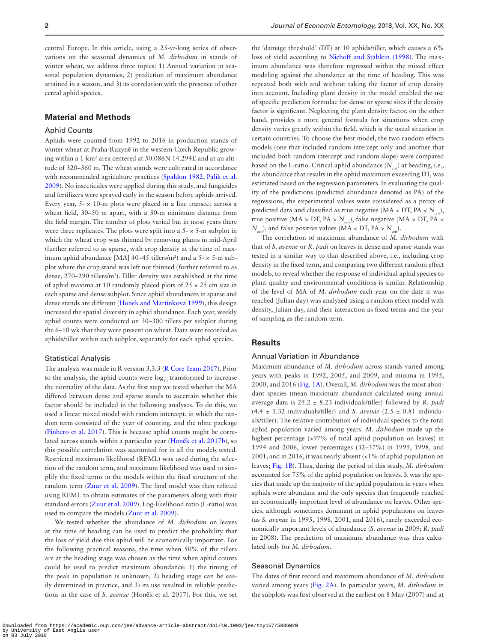central Europe. In this article, using a 25-yr-long series of observations on the seasonal dynamics of *M. dirhodum* in stands of winter wheat, we address three topics: 1) Annual variation in seasonal population dynamics, 2) prediction of maximum abundance attained in a season, and 3) its correlation with the presence of other cereal aphid species.

# **Material and Methods**

# Aphid Counts

Aphids were counted from 1992 to 2016 in production stands of winter wheat at Praha-Ruzyně in the western Czech Republic growing within a 1-km2 area centered at 50.086N 14.294E and at an altitude of 320–360 m. The wheat stands were cultivated in accordance with recommended agriculture practices [\(Spaldon 1982](#page-8-5), [Palik et al.](#page-7-21)  [2009](#page-7-21)). No insecticides were applied during this study, and fungicides and fertilizers were sprayed early in the season before aphids arrived. Every year,  $5 - \times 10$ -m plots were placed in a line transect across a wheat field, 30–50 m apart, with a 30-m minimum distance from the field margin. The number of plots varied but in most years there were three replicates. The plots were split into a  $5 - \times 5$ -m subplot in which the wheat crop was thinned by removing plants in mid-April (further referred to as sparse, with crop density at the time of maximum aphid abundance [MA] 40–45 tillers/m<sup>2</sup>) and a 5- × 5-m subplot where the crop stand was left not thinned (further referred to as dense, 270–290 tillers/m2 ). Tiller density was established at the time of aphid maxima at 10 randomly placed plots of  $25 \times 25$  cm size in each sparse and dense subplot. Since aphid abundances in sparse and dense stands are different [\(Honek and Martinkova 1999](#page-7-22)), this design increased the spatial diversity in aphid abundance. Each year, weekly aphid counts were conducted on 30–300 tillers per subplot during the 6–10 wk that they were present on wheat. Data were recorded as aphids/tiller within each subplot, separately for each aphid species.

#### Statistical Analysis

The analysis was made in R version 3.3.3 [\(R Core Team 2017\)](#page-7-23). Prior to the analysis, the aphid counts were  $log_{10}$  transformed to increase the normality of the data. As the first step we tested whether the MA differed between dense and sparse stands to ascertain whether this factor should be included in the following analyses. To do this, we used a linear mixed model with random intercept, in which the random term consisted of the year of counting, and the nlme package [\(Pinhero et al. 2017](#page-7-23)). This is because aphid counts might be correlated across stands within a particular year (Honě[k et al. 2017b](#page-7-24)), so this possible correlation was accounted for in all the models tested. Restricted maximum likelihood (REML) was used during the selection of the random term, and maximum likelihood was used to simplify the fixed terms in the models within the final structure of the random term [\(Zuur et al. 2009\)](#page-8-6). The final model was then refitted using REML to obtain estimates of the parameters along with their standard errors ([Zuur et al. 2009](#page-8-6)). Log-likelihood ratio (L-ratio) was used to compare the models ([Zuur et al. 2009\)](#page-8-6).

We tested whether the abundance of *M. dirhodum* on leaves at the time of heading can be used to predict the probability that the loss of yield due this aphid will be economically important. For the following practical reasons, the time when 50% of the tillers are at the heading stage was chosen as the time when aphid counts could be used to predict maximum abundance: 1) the timing of the peak in population is unknown, 2) heading stage can be easily determined in practice, and 3) its use resulted in reliable predictions in the case of *S. avenae* (Honěk et al. 2017). For this, we set

the 'damage threshold' (DT) at 10 aphids/tiller, which causes a 6% loss of yield according to [Niehoff and Stäblein \(1998\)](#page-7-25). The maximum abundance was therefore regressed within the mixed effect modeling against the abundance at the time of heading. This was repeated both with and without taking the factor of crop density into account. Including plant density in the model enabled the use of specific prediction formulae for dense or sparse sites if the density factor is significant. Neglecting the plant density factor, on the other hand, provides a more general formula for situations when crop density varies greatly within the field, which is the usual situation in certain countries. To choose the best model, the two random effects models (one that included random intercept only and another that included both random intercept and random slope) were compared based on the L-ratio. Critical aphid abundance  $(N_{\ldots})$  at heading, i.e., the abundance that results in the aphid maximum exceeding DT, was estimated based on the regression parameters. In evaluating the quality of the predictions (predicted abundance denoted as PA) of the regressions, the experimental values were considered as a proxy of predicted data and classified as true negative ( $MA < DT$ ,  $PA < N<sub>crit</sub>$ ), true positive (MA > DT, PA >  $N_{\text{crit}}$ ), false negative (MA > DT, PA <  $N_{\text{crit}}$ , and false positive values (MA < DT, PA >  $N_{\text{crit}}$ ).

The correlation of maximum abundance of *M. dirhodum* with that of *S. avenae* or *R. padi* on leaves in dense and sparse stands was tested in a similar way to that described above, i.e., including crop density in the fixed term, and comparing two different random effect models, to reveal whether the response of individual aphid species to plant quality and environmental conditions is similar. Relationship of the level of MA of *M. dirhodum* each year on the date it was reached (Julian day) was analyzed using a random effect model with density, Julian day, and their interaction as fixed terms and the year of sampling as the random term.

# **Results**

#### Annual Variation in Abundance

Maximum abundance of *M. dirhodum* across stands varied among years with peaks in 1992, 2005, and 2009, and minima in 1995, 2000, and 2016 [\(Fig. 1A](#page-2-0)). Overall, *M. dirhodum* was the most abundant species (mean maximum abundance calculated using annual average data is 25.2 ± 8.23 individuals/tiller) followed by *R. padi*  $(4.4 \pm 1.32 \text{ individuals/tiller})$  and *S. avenae*  $(2.5 \pm 0.81 \text{ individuals})$ als/tiller). The relative contribution of individual species to the total aphid population varied among years. *M. dirhodum* made up the highest percentage (>97% of total aphid population on leaves) in 1994 and 2006, lower percentages (32–37%) in 1995, 1998, and 2001, and in 2016, it was nearly absent (<1% of aphid population on leaves; [Fig. 1B](#page-2-0)). Thus, during the period of this study, *M. dirhodum* accounted for 75% of the aphid population on leaves. It was the species that made up the majority of the aphid population in years when aphids were abundant and the only species that frequently reached an economically important level of abundance on leaves. Other species, although sometimes dominant in aphid populations on leaves (as *S. avenae* in 1995, 1998, 2001, and 2016), rarely exceeded economically important levels of abundance (*S. avenae* in 2009; *R. padi* in 2008). The prediction of maximum abundance was thus calculated only for *M. dirhodum*.

# Seasonal Dynamics

The dates of first record and maximum abundance of *M. dirhodum* varied among years ([Fig. 2A\)](#page-3-0). In particular years, *M. dirhodum* in the subplots was first observed at the earliest on 8 May (2007) and at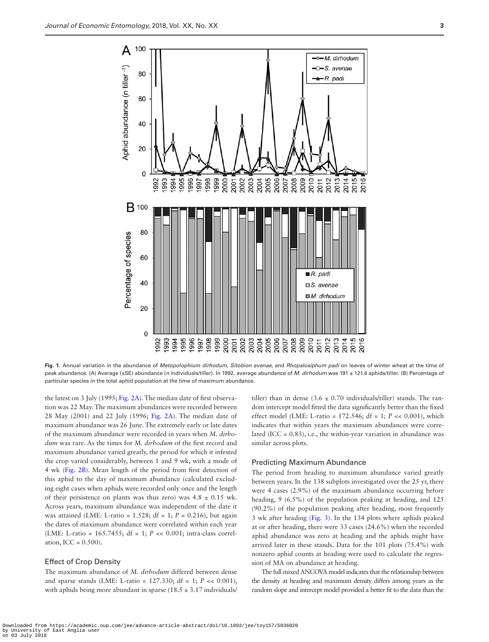

**Fig. 1.** Annual variation in the abundance of *Metopolophium dirhodum*, *Sitobion avenae,* and *Rhopalosiphum padi* on leaves of winter wheat at the time of peak abundance. (A) Average (±SE) abundance (*n* individuals/tiller). In 1992, average abundance of *M. dirhodum* was 191 ± 121.4 aphids/tiller. (B) Percentage of particular species in the total aphid population at the time of maximum abundance.

the latest on 3 July (1995; [Fig. 2A\)](#page-3-0). The median date of first observation was 22 May. The maximum abundances were recorded between 28 May (2001) and 22 July (1996; [Fig. 2A\)](#page-3-0). The median date of maximum abundance was 26 June. The extremely early or late dates of the maximum abundance were recorded in years when *M. dirhodum* was rare. As the times for *M. dirhodum* of the first record and maximum abundance varied greatly, the period for which it infested the crop varied considerably, between 1 and 9 wk, with a mode of 4 wk ([Fig. 2B](#page-3-0)). Mean length of the period from first detection of this aphid to the day of maximum abundance (calculated excluding eight cases when aphids were recorded only once and the length of their persistence on plants was thus zero) was  $4.8 \pm 0.15$  wk. Across years, maximum abundance was independent of the date it was attained (LME: L-ratio =  $1.528$ ; df =  $1$ ;  $P = 0.216$ ), but again the dates of maximum abundance were correlated within each year (LME: L-ratio = 165.7455; df = 1; *P* << 0.001; intra-class correlation, ICC =  $0.500$ ).

#### Effect of Crop Density

The maximum abundance of *M. dirhodum* differed between dense and sparse stands (LME: L-ratio = 127.330; df = 1; *P* << 0.001), with aphids being more abundant in sparse (18.5  $\pm$  3.17 individuals/

<span id="page-2-0"></span>tiller) than in dense  $(3.6 \pm 0.70)$  individuals/tiller) stands. The random intercept model fitted the data significantly better than the fixed effect model (LME: L-ratio = 172.546; df = 1; *P* << 0.001), which indicates that within years the maximum abundances were correlated (ICC =  $0.83$ ), i.e., the within-year variation in abundance was similar across plots.

#### Predicting Maximum Abundance

The period from heading to maximum abundance varied greatly between years. In the 138 subplots investigated over the 25 yr, there were 4 cases (2.9%) of the maximum abundance occurring before heading, 9 (6.5%) of the population peaking at heading, and 125 (90.2%) of the population peaking after heading, most frequently 3 wk after heading [\(Fig. 3\)](#page-4-0). In the 134 plots where aphids peaked at or after heading, there were 33 cases (24.6%) when the recorded aphid abundance was zero at heading and the aphids might have arrived later in these stands. Data for the 101 plots (75.4%) with nonzero aphid counts at heading were used to calculate the regression of MA on abundance at heading.

The full mixed ANCOVA model indicates that the relationship between the density at heading and maximum density differs among years as the random slope and intercept model provided a better fit to the data than the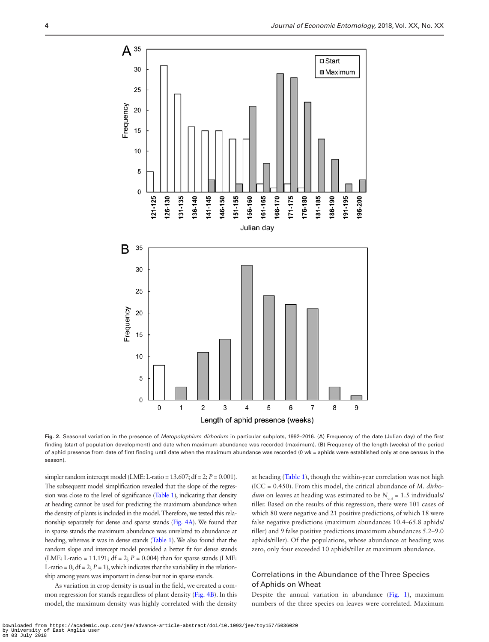

**Fig. 2.** Seasonal variation in the presence of *Metopolophium dirhodum* in particular subplots, 1992–2016. (A) Frequency of the date (Julian day) of the first finding (start of population development) and date when maximum abundance was recorded (maximum). (B) Frequency of the length (weeks) of the period of aphid presence from date of first finding until date when the maximum abundance was recorded (0 wk = aphids were established only at one census in the season).

simpler random intercept model (LME: L-ratio =  $13.607$ ; df =  $2$ ;  $P = 0.001$ ). The subsequent model simplification revealed that the slope of the regression was close to the level of significance ([Table 1](#page-4-1)), indicating that density at heading cannot be used for predicting the maximum abundance when the density of plants is included in the model. Therefore, we tested this relationship separately for dense and sparse stands [\(Fig. 4A\)](#page-5-0). We found that in sparse stands the maximum abundance was unrelated to abundance at heading, whereas it was in dense stands [\(Table 1](#page-4-1)). We also found that the random slope and intercept model provided a better fit for dense stands (LME: L-ratio = 11.191;  $df = 2$ ;  $P = 0.004$ ) than for sparse stands (LME: L-ratio = 0;  $df = 2$ ;  $P = 1$ ), which indicates that the variability in the relationship among years was important in dense but not in sparse stands.

As variation in crop density is usual in the field, we created a common regression for stands regardless of plant density ([Fig. 4B\)](#page-5-0). In this model, the maximum density was highly correlated with the density

<span id="page-3-0"></span>at heading ([Table 1\)](#page-4-1), though the within-year correlation was not high (ICC = 0.450). From this model, the critical abundance of *M. dirhodum* on leaves at heading was estimated to be  $N_{\text{crit}} = 1.5$  individuals/ tiller. Based on the results of this regression, there were 101 cases of which 80 were negative and 21 positive predictions, of which 18 were false negative predictions (maximum abundances 10.4–65.8 aphids/ tiller) and 9 false positive predictions (maximum abundances 5.2–9.0 aphids/tiller). Of the populations, whose abundance at heading was zero, only four exceeded 10 aphids/tiller at maximum abundance.

# Correlations in the Abundance of the Three Species of Aphids on Wheat

Despite the annual variation in abundance (Fig. 1), maximum numbers of the three species on leaves were correlated. Maximum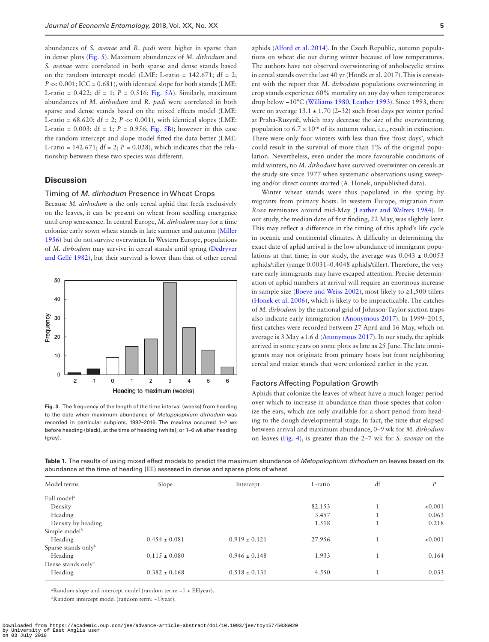abundances of *S. avenae* and *R. padi* were higher in sparse than in dense plots ([Fig. 5\)](#page-5-1). Maximum abundances of *M. dirhodum* and *S. avenae* were correlated in both sparse and dense stands based on the random intercept model (LME: L-ratio =  $142.671$ ; df = 2;  $P \ll 0.001$ ; ICC = 0.681), with identical slope for both stands (LME: L-ratio =  $0.422$ ; df = 1;  $P = 0.516$ ; [Fig. 5A\)](#page-5-1). Similarly, maximum abundances of *M. dirhodum* and *R. padi* were correlated in both sparse and dense stands based on the mixed effects model (LME: L-ratio =  $68.620$ ; df = 2;  $P \ll 0.001$ ), with identical slopes (LME: L-ratio =  $0.003$ ; df = 1; *P* = 0.956; [Fig. 5B\)](#page-5-1); however in this case the random intercept and slope model fitted the data better (LME: L-ratio = 142.671;  $df = 2$ ;  $P = 0.028$ ), which indicates that the relationship between these two species was different.

# **Discussion**

#### Timing of *M. dirhodum* Presence in Wheat Crops

Because *M. dirhodum* is the only cereal aphid that feeds exclusively on the leaves, it can be present on wheat from seedling emergence until crop senescence. In central Europe, *M. dirhodum* may for a time colonize early sown wheat stands in late summer and autumn ([Miller](#page-7-26)  [1956](#page-7-26)) but do not survive overwinter. In Western Europe, populations of *M. dirhodum* may survive in cereal stands until spring ([Dedryver](#page-7-27)  [and Gellé 1982](#page-7-27)), but their survival is lower than that of other cereal



<span id="page-4-0"></span>**Fig. 3.** The frequency of the length of the time interval (weeks) from heading to the date when maximum abundance of *Metopolophium dirhodum* was recorded in particular subplots, 1992–2016. The maxima occurred 1–2 wk before heading (black), at the time of heading (white), or 1–6 wk after heading (gray).

aphids [\(Alford et al. 2014\)](#page-6-1). In the Czech Republic, autumn populations on wheat die out during winter because of low temperatures. The authors have not observed overwintering of anholocyclic strains in cereal stands over the last 40 yr (Honěk et al. 2017). This is consistent with the report that *M. dirhodum* populations overwintering in crop stands experience 60% mortality on any day when temperatures drop below −10°C [\(Williams 1980](#page-8-7), [Leather 1993](#page-7-28)). Since 1993, there were on average  $13.1 \pm 1.70$  (2–32) such frost days per winter period at Praha-Ruzyně, which may decrease the size of the overwintering population to  $6.7 \times 10^{-6}$  of its autumn value, i.e., result in extinction. There were only four winters with less than five 'frost days', which could result in the survival of more than 1% of the original population. Nevertheless, even under the more favourable conditions of mild winters, no *M. dirhodum* have survived overwinter on cereals at the study site since 1977 when systematic observations using sweeping and/or direct counts started (A. Honek, unpublished data).

Winter wheat stands were thus populated in the spring by migrants from primary hosts. In western Europe, migration from *Rosa* terminates around mid-May ([Leather and Walters 1984\)](#page-7-3). In our study, the median date of first finding, 22 May, was slightly later. This may reflect a difference in the timing of this aphid's life cycle in oceanic and continental climates. A difficulty in determining the exact date of aphid arrival is the low abundance of immigrant populations at that time; in our study, the average was  $0.043 \pm 0.0053$ aphids/tiller (range 0.0031–0.4048 aphids/tiller). Therefore, the very rare early immigrants may have escaped attention. Precise determination of aphid numbers at arrival will require an enormous increase in sample size ([Boeve and Weiss 2002\)](#page-7-29), most likely to ≥1,500 tillers [\(Honek et al. 2006\)](#page-7-30), which is likely to be impracticable. The catches of *M. dirhodum* by the national grid of Johnson-Taylor suction traps also indicate early immigration [\(Anonymous 2017](#page-6-2)). In 1999–2015, first catches were recorded between 27 April and 16 May, which on average is 3 May ±1.6 d ([Anonymous 2017](#page-6-2)). In our study, the aphids arrived in some years on some plots as late as 25 June. The late immigrants may not originate from primary hosts but from neighboring cereal and maize stands that were colonized earlier in the year.

#### Factors Affecting Population Growth

Aphids that colonize the leaves of wheat have a much longer period over which to increase in abundance than those species that colonize the ears, which are only available for a short period from heading to the dough developmental stage. In fact, the time that elapsed between arrival and maximum abundance, 0–9 wk for *M. dirhodum* on leaves ([Fig. 4\)](#page-5-0), is greater than the 2–7 wk for *S. avenae* on the

<span id="page-4-1"></span>**Table 1.** The results of using mixed effect models to predict the maximum abundance of *Metopolophium dirhodum* on leaves based on its abundance at the time of heading (EE) assessed in dense and sparse plots of wheat

| Model terms                    | Slope             | Intercept         | L-ratio | df | D       |
|--------------------------------|-------------------|-------------------|---------|----|---------|
| Full model <sup>a</sup>        |                   |                   |         |    |         |
| Density                        |                   |                   | 82.153  |    | < 0.001 |
| Heading                        |                   |                   | 3.457   |    | 0.063   |
| Density by heading             |                   |                   | 1.518   |    | 0.218   |
| Simple model <sup>b</sup>      |                   |                   |         |    |         |
| Heading                        | $0.454 \pm 0.081$ | $0.919 \pm 0.121$ | 27.956  |    | < 0.001 |
| Sparse stands onlyb            |                   |                   |         |    |         |
| Heading                        | $0.115 \pm 0.080$ | $0.946 \pm 0.148$ | 1.933   |    | 0.164   |
| Dense stands only <sup>a</sup> |                   |                   |         |    |         |
| Heading                        | $0.382 \pm 0.168$ | $0.518 \pm 0.131$ | 4.550   |    | 0.033   |

*a* Random slope and intercept model (random term: ~1 + EE|year).

*b* Random intercept model (random term: ~1|year).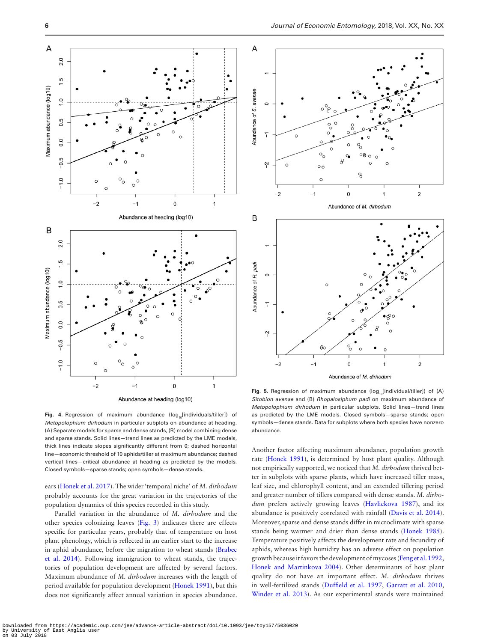



<span id="page-5-0"></span>Fig. 4. Regression of maximum abundance (log<sub>10</sub>[individuals/tiller]) of *Metopolophium dirhodum* in particular subplots on abundance at heading. (A) Separate models for sparse and dense stands, (B) model combining dense and sparse stands. Solid lines—trend lines as predicted by the LME models, thick lines indicate slopes significantly different from 0; dashed horizontal line—economic threshold of 10 aphids/tiller at maximum abundance; dashed vertical lines—critical abundance at heading as predicted by the models. Closed symbols—sparse stands; open symbols—dense stands.

ears ([Honek et al. 2017](#page-7-31)). The wider 'temporal niche' of *M. dirhodum* probably accounts for the great variation in the trajectories of the population dynamics of this species recorded in this study.

Parallel variation in the abundance of *M. dirhodum* and the other species colonizing leaves ([Fig. 3](#page-4-0)) indicates there are effects specific for particular years, probably that of temperature on host plant phenology, which is reflected in an earlier start to the increase in aphid abundance, before the migration to wheat stands [\(Brabec](#page-7-32)  [et al. 2014\)](#page-7-32). Following immigration to wheat stands, the trajectories of population development are affected by several factors. Maximum abundance of *M. dirhodum* increases with the length of period available for population development ([Honek 1991\)](#page-7-5), but this does not significantly affect annual variation in species abundance.

<span id="page-5-1"></span>Fig. 5. Regression of maximum abundance (log<sub>10</sub>[individual/tiller]) of (A) *Sitobion avenae* and (B) *Rhopalosiphum padi* on maximum abundance of *Metopolophium dirhodum* in particular subplots. Solid lines—trend lines as predicted by the LME models. Closed symbols—sparse stands; open symbols—dense stands. Data for subplots where both species have nonzero abundance.

Another factor affecting maximum abundance, population growth rate ([Honek 1991\)](#page-7-5), is determined by host plant quality. Although not empirically supported, we noticed that *M. dirhodum* thrived better in subplots with sparse plants, which have increased tiller mass, leaf size, and chlorophyll content, and an extended tillering period and greater number of tillers compared with dense stands. *M. dirhodum* prefers actively growing leaves ([Havlickova 1987\)](#page-7-33), and its abundance is positively correlated with rainfall [\(Davis et al. 2014](#page-7-34)). Moreover, sparse and dense stands differ in microclimate with sparse stands being warmer and drier than dense stands [\(Honek 1985](#page-7-35)). Temperature positively affects the development rate and fecundity of aphids, whereas high humidity has an adverse effect on population growth because it favors the development of mycoses ([Feng et al. 1992,](#page-7-36) [Honek and Martinkova 2004](#page-7-6)). Other determinants of host plant quality do not have an important effect. *M. dirhodum* thrives in well-fertilized stands [\(Duffield et al. 1997](#page-7-37), [Garratt et al. 2010,](#page-7-38) [Winder et al. 2013](#page-8-8)). As our experimental stands were maintained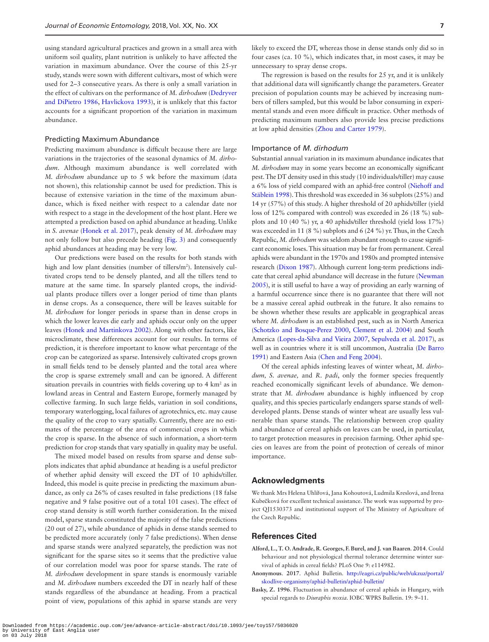using standard agricultural practices and grown in a small area with uniform soil quality, plant nutrition is unlikely to have affected the variation in maximum abundance. Over the course of this 25-yr study, stands were sown with different cultivars, most of which were used for 2–3 consecutive years. As there is only a small variation in the effect of cultivars on the performance of *M. dirhodum* ([Dedryver](#page-7-39)  [and DiPietro 1986](#page-7-39), [Havlickova 1993\)](#page-7-40), it is unlikely that this factor accounts for a significant proportion of the variation in maximum abundance.

#### Predicting Maximum Abundance

Predicting maximum abundance is difficult because there are large variations in the trajectories of the seasonal dynamics of *M. dirhodum*. Although maximum abundance is well correlated with *M. dirhodum* abundance up to 5 wk before the maximum (data not shown), this relationship cannot be used for prediction. This is because of extensive variation in the time of the maximum abundance, which is fixed neither with respect to a calendar date nor with respect to a stage in the development of the host plant. Here we attempted a prediction based on aphid abundance at heading. Unlike in *S. avenae* ([Honek et al. 2017](#page-7-31)), peak density of *M. dirhodum* may not only follow but also precede heading [\(Fig. 3\)](#page-4-0) and consequently aphid abundances at heading may be very low.

Our predictions were based on the results for both stands with high and low plant densities (number of tillers/m<sup>2</sup>). Intensively cultivated crops tend to be densely planted, and all the tillers tend to mature at the same time. In sparsely planted crops, the individual plants produce tillers over a longer period of time than plants in dense crops. As a consequence, there will be leaves suitable for *M. dirhodum* for longer periods in sparse than in dense crops in which the lower leaves die early and aphids occur only on the upper leaves ([Honek and Martinkova 2002](#page-7-16)). Along with other factors, like microclimate, these differences account for our results. In terms of prediction, it is therefore important to know what percentage of the crop can be categorized as sparse. Intensively cultivated crops grown in small fields tend to be densely planted and the total area where the crop is sparse extremely small and can be ignored. A different situation prevails in countries with fields covering up to  $4 \text{ km}^2$  as in lowland areas in Central and Eastern Europe, formerly managed by collective farming. In such large fields, variation in soil conditions, temporary waterlogging, local failures of agrotechnics, etc. may cause the quality of the crop to vary spatially. Currently, there are no estimates of the percentage of the area of commercial crops in which the crop is sparse. In the absence of such information, a short-term prediction for crop stands that vary spatially in quality may be useful.

The mixed model based on results from sparse and dense subplots indicates that aphid abundance at heading is a useful predictor of whether aphid density will exceed the DT of 10 aphids/tiller. Indeed, this model is quite precise in predicting the maximum abundance, as only ca 26% of cases resulted in false predictions (18 false negative and 9 false positive out of a total 101 cases). The effect of crop stand density is still worth further consideration. In the mixed model, sparse stands constituted the majority of the false predictions (20 out of 27), while abundance of aphids in dense stands seemed to be predicted more accurately (only 7 false predictions). When dense and sparse stands were analyzed separately, the prediction was not significant for the sparse sites so it seems that the predictive value of our correlation model was poor for sparse stands. The rate of *M. dirhodum* development in spare stands is enormously variable and *M. dirhodum* numbers exceeded the DT in nearly half of these stands regardless of the abundance at heading. From a practical point of view, populations of this aphid in sparse stands are very

likely to exceed the DT, whereas those in dense stands only did so in four cases (ca. 10 %), which indicates that, in most cases, it may be unnecessary to spray dense crops.

The regression is based on the results for 25 yr, and it is unlikely that additional data will significantly change the parameters. Greater precision of population counts may be achieved by increasing numbers of tillers sampled, but this would be labor consuming in experimental stands and even more difficult in practice. Other methods of predicting maximum numbers also provide less precise predictions at low aphid densities ([Zhou and Carter 1979](#page-8-9)).

#### Importance of *M. dirhodum*

Substantial annual variation in its maximum abundance indicates that *M. dirhodum* may in some years become an economically significant pest. The DT density used in this study (10 individuals/tiller) may cause a 6% loss of yield compared with an aphid-free control ([Niehoff and](#page-7-25)  [Stäblein 1998\)](#page-7-25). This threshold was exceeded in 36 subplots (25%) and 14 yr (57%) of this study. A higher threshold of 20 aphids/tiller (yield loss of 12% compared with control) was exceeded in 26 (18 %) subplots and 10 (40 %) yr, a 40 aphids/tiller threshold (yield loss 17%) was exceeded in 11 (8 %) subplots and 6 (24 %) yr. Thus, in the Czech Republic, *M. dirhodum* was seldom abundant enough to cause significant economic loses. This situation may be far from permanent. Cereal aphids were abundant in the 1970s and 1980s and prompted intensive research ([Dixon 1987](#page-7-14)). Although current long-term predictions indicate that cereal aphid abundance will decrease in the future [\(Newman](#page-7-41)  [2005](#page-7-41)), it is still useful to have a way of providing an early warning of a harmful occurrence since there is no guarantee that there will not be a massive cereal aphid outbreak in the future. It also remains to be shown whether these results are applicable in geographical areas where *M. dirhodum* is an established pest, such as in North America [\(Schotzko and Bosque-Perez 2000,](#page-8-3) [Clement et al. 2004](#page-7-18)) and South America [\(Lopes-da-Silva and Vieira 2007](#page-7-19), [Sepulveda et al. 2017](#page-8-4)), as well as in countries where it is still uncommon, Australia [\(De Barro](#page-7-42)  [1991](#page-7-42)) and Eastern Asia [\(Chen and Feng 2004\)](#page-7-43).

Of the cereal aphids infesting leaves of winter wheat, *M. dirhodum, S. avenae,* and *R. padi*, only the former species frequently reached economically significant levels of abundance. We demonstrate that *M. dirhodum* abundance is highly influenced by crop quality, and this species particularly endangers sparse stands of welldeveloped plants. Dense stands of winter wheat are usually less vulnerable than sparse stands. The relationship between crop quality and abundance of cereal aphids on leaves can be used, in particular, to target protection measures in precision farming. Other aphid species on leaves are from the point of protection of cereals of minor importance.

# **Acknowledgments**

We thank Mrs Helena Uhlířová, Jana Kohoutová, Ludmila Kreslová, and Irena Kubečková for excellent technical assistance. The work was supported by project QJ1530373 and institutional support of The Ministry of Agriculture of the Czech Republic.

# **References Cited**

- <span id="page-6-1"></span>**Alford, L., T. O. Andrade, R. Georges, F. Burel, and J. van Baaren**. **2014**. Could behaviour and not physiological thermal tolerance determine winter survival of aphids in cereal fields? PLoS One 9: e114982.
- <span id="page-6-2"></span>**Anonymous**. **2017**. Aphid Bulletin. [http://eagri.cz/public/web/ukzuz/portal/](http://eagri.cz/public/web/ukzuz/portal/skodlive-organismy/aphid-bulletin/aphid-bulletin/) [skodlive-organismy/aphid-bulletin/aphid-bulletin/](http://eagri.cz/public/web/ukzuz/portal/skodlive-organismy/aphid-bulletin/aphid-bulletin/)
- <span id="page-6-0"></span>**Basky, Z. 1996**. Fluctuation in abundance of cereal aphids in Hungary, with special regards to *Diuraphis noxia*. IOBC WPRS Bulletin. 19: 9–11.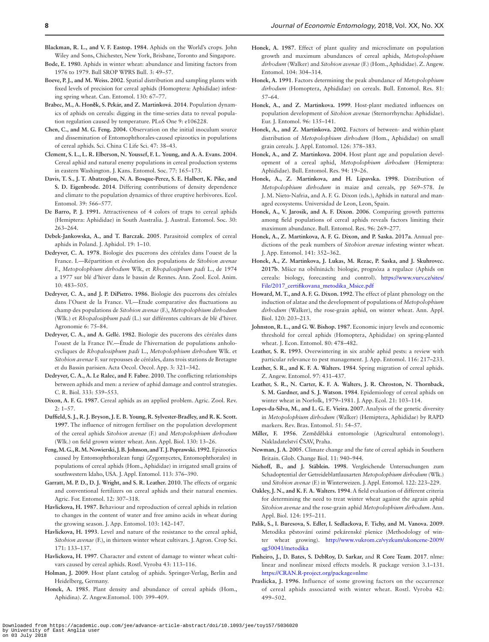- <span id="page-7-0"></span>**Blackman, R. L., and V. F. Eastop. 1984**. Aphids on the World's crops. John Wiley and Sons, Chichester, New York, Brisbane, Toronto and Singapore.
- <span id="page-7-2"></span>**Bode, E. 1980**. Aphids in winter wheat: abundance and limiting factors from 1976 to 1979. Bull SROP WPRS Bull. 3: 49–57.
- <span id="page-7-29"></span>**Boeve, P. J., and M. Weiss. 2002**. Spatial distribution and sampling plants with fixed levels of precision for cereal aphids (Homoptera: Aphididae) infesting spring wheat. Can. Entomol. 130: 67–77.
- <span id="page-7-32"></span>**Brabec, M., A. Honěk, S. Pekár, and Z. Martinková**. **2014**. Population dynamics of aphids on cereals: digging in the time-series data to reveal population regulation caused by temperature. PLoS One 9: e106228.
- <span id="page-7-43"></span>**Chen, C., and M. G. Feng. 2004.** Observation on the initial inoculum source and dissemination of Entomophthorales-caused epizootics in populations of cereal aphids. Sci. China C Life Sci. 47: 38–43.
- <span id="page-7-18"></span>**Clement, S. L., L. R. Elberson, N. Youssef, F. L. Young, and A. A. Evans. 2004**. Cereal aphid and natural enemy populations in cereal production systems in eastern Washington. J. Kans. Entomol. Soc. 77: 165–173.
- <span id="page-7-34"></span>**Davis, T. S., J. T. Abatzoglou, N. A. Bosque-Perez, S. E. Halbert, K. Pike, and S. D. Eigenbrode. 2014**. Differing contributions of density dependence and climate to the population dynamics of three eruptive herbivores. Ecol. Entomol. 39: 566–577.
- <span id="page-7-42"></span>**De Barro, P. J. 1991.** Attractiveness of 4 colors of traps to cereal aphids (Hemiptera: Aphididae) in South Australia. J. Austral. Entomol. Soc. 30: 263–264.
- <span id="page-7-10"></span>**Debek-Jankowska, A., and T. Barczak. 2005**. Parasitoid complex of cereal aphids in Poland. J. Aphidol. 19: 1–10.
- <span id="page-7-11"></span>**Dedryver, C. A. 1978**. Biologie des pucerons des céréales dans l'ouest de la France. I.—Répartition et évolution des populations de *Sitobion avenae* F., *Metopolophium dirhodum* Wlk, et *Rhopalosiphum padi* L., de 1974 a 1977 sur blé d'hiver dans le bassin de Rennes. Ann. Zool. Ecol. Anim. 10: 483–505.
- <span id="page-7-39"></span>**Dedryver, C. A., and J. P. DiPietro. 1986**. Biologie des pucerons des céréales dans l'Ouest de la France. VI.—Etude comparative des fluctuations au champ des populations de *Sitobion avenae* (F.), *Metopolophium dirhodum* (Wlk.) et *Rhopalosiphum padi* (L.) sur différentes cultivars de blé d'hiver. Agronomie 6: 75–84.
- <span id="page-7-27"></span>**Dedryver, C. A., and A. Gellé. 1982**. Biologie des pucerons des céréales dans l'ouest de la France IV.—Étude de l'hivernation de populations anholocycliques de *Rhopalosiphum padi* L., *Metopolophium dirhodum* Wlk. et *Sitobion avenae* F. sur repousses de céréales, dans trois stations de Bretagne et du Bassin parisien. Acta Oecol. Oecol. App. 3: 321–342.
- <span id="page-7-15"></span>**Dedryver, C. A., A. Le Ralec, and F. Fabre**. **2010**. The conflicting relationships between aphids and men: a review of aphid damage and control strategies. C. R. Biol. 333: 539–553.
- <span id="page-7-14"></span>**Dixon, A. F. G. 1987**. Cereal aphids as an applied problem. Agric. Zool. Rev. 2: 1–57.
- <span id="page-7-37"></span>**Duffield, S. J., R. J. Bryson, J. E. B. Young, R. Sylvester-Bradley, and R. K. Scott. 1997**. The influence of nitrogen fertiliser on the population development of the cereal aphids *Sitobion avenae* (F.) and *Metopolophium dirhodum* (Wlk.) on field grown winter wheat. Ann. Appl. Biol. 130: 13–26.
- <span id="page-7-36"></span>**Feng, M. G., R. M. Nowierski, J. B. Johnson, and T. J. Poprawski. 1992**. Epizootics caused by Entomophthoralean fungi (Zygomycetes, Entomophthorales) in populations of cereal aphids (Hom., Aphididae) in irrigated small grains of southwestern Idaho, USA. J. Appl. Entomol. 113: 376–390.
- <span id="page-7-38"></span>**Garratt, M. P. D., D. J. Wright, and S. R. Leather. 2010**. The effects of organic and conventional fertilizers on cereal aphids and their natural enemies. Agric. For. Entomol. 12: 307–318.
- <span id="page-7-33"></span>**Havlickova, H. 1987**. Behaviour and reproduction of cereal aphids in relation to changes in the content of water and free amino acids in wheat during the growing season. J. App. Entomol. 103: 142–147.
- <span id="page-7-40"></span>**Havlickova, H. 1993**. Level and nature of the resistance to the cereal aphid, *Sitobion avenae* (F.), in thirteen winter wheat cultivars. J. Agron. Crop Sci. 171: 133–137.
- <span id="page-7-20"></span>**Havlickova, H. 1997**. Character and extent of damage to winter wheat cultivars caused by cereal aphids. Rostl. Vyroba 43: 113–116.
- <span id="page-7-1"></span>**Holman, J. 2009**. Host plant catalog of aphids. Springer-Verlag, Berlin and Heidelberg, Germany.
- <span id="page-7-35"></span>**Honek, A. 1985**. Plant density and abundance of cereal aphids (Hom., Aphidina). Z. Angew.Entomol. 100: 399–409.
- <span id="page-7-8"></span>**Honek, A. 1987**. Effect of plant quality and microclimate on population growth and maximum abundances of cereal aphids, *Metopolophium dirhodum* (Walker) and *Sitobion avenae* (F.) (Hom., Aphididae). Z. Angew. Entomol. 104: 304–314.
- <span id="page-7-5"></span>**Honek, A. 1991**. Factors determining the peak abundance of *Metopolophium dirhodum* (Homoptera, Aphididae) on cereals. Bull. Entomol. Res. 81: 57–64.
- <span id="page-7-22"></span>**Honek, A., and Z. Martinkova. 1999**. Host-plant mediated influences on population development of *Sitobion avenae* (Sternorrhyncha: Aphididae). Eur. J. Entomol. 96: 135–141.
- <span id="page-7-16"></span>**Honek, A., and Z. Martinkova. 2002**. Factors of between- and within-plant distribution of *Metopolophium dirhodum* (Hom., Aphididae) on small grain cereals. J. Appl. Entomol. 126: 378–383.
- <span id="page-7-6"></span>**Honek, A., and Z. Martinkova. 2004**. Host plant age and population development of a cereal aphid, *Metopolophium dirhodum* (Hemiptera: Aphididae). Bull. Entomol. Res. 94: 19–26.
- <span id="page-7-7"></span>**Honek, A., Z. Martinkova, and H. Lipavska. 1998**. Distribution of *Metopolophium dirhodum* in maize and cereals, pp 569–578. *In* J. M. Nieto-Nafria, and A. F. G. Dixon (eds.), Aphids in natural and managed ecosystems. Universidad de Leon, Leon, Spain.
- <span id="page-7-30"></span>**Honek, A., V. Jarosik, and A. F. Dixon**. **2006**. Comparing growth patterns among field populations of cereal aphids reveals factors limiting their maximum abundance. Bull. Entomol. Res. 96: 269–277.
- <span id="page-7-31"></span>**Honek, A., Z. Martinkova, A. F. G. Dixon, and P. Saska. 2017a**. Annual predictions of the peak numbers of *Sitobion avenae* infesting winter wheat. J. App. Entomol. 141: 352–362.
- <span id="page-7-24"></span>**Honek, A., Z. Martinkova, J. Lukas, M. Rezac, P. Saska, and J. Skuhrovec. 2017b**. Mšice na obilninách: biologie, prognóza a regulace (Aphids on cereals: biology, forecasting and control). [https://www.vurv.cz/sites/](https://www.vurv.cz/sites/File/2017_certifikovana_metodika_Msice.pdf) [File/2017\\_certifikovana\\_metodika\\_Msice.pdf](https://www.vurv.cz/sites/File/2017_certifikovana_metodika_Msice.pdf)
- <span id="page-7-4"></span>**Howard, M. T., and A. F. G. Dixon. 1992**. The effect of plant phenology on the induction of alatae and the development of populations of *Metopolophium dirhodum* (Walker), the rose-grain aphid, on winter wheat. Ann. Appl. Biol. 120: 203–213.
- <span id="page-7-17"></span>**Johnston, R. L., and G. W. Bishop. 1987**. Economic injury levels and economic threshold for cereal aphids (Homoptera, Aphididae) on spring-planted wheat. J. Econ. Entomol. 80: 478–482.
- <span id="page-7-28"></span>**Leather, S. R. 1993**. Overwintering in six arable aphid pests: a review with particular relevance to pest management. J. App. Entomol. 116: 217–233.
- <span id="page-7-3"></span>**Leather, S. R., and K. F. A. Walters. 1984**. Spring migration of cereal aphids. Z. Angew. Entomol. 97: 431–437.
- <span id="page-7-12"></span>**Leather, S. R., N. Carter, K. F. A. Walters, J. R. Chroston, N. Thornback, S. M. Gardner, and S. J. Watson. 1984**. Epidemiology of cereal aphids on winter wheat in Norfolk, 1979–1981. J. App. Ecol. 21: 103–114.
- <span id="page-7-19"></span>**Lopes-da-Silva, M., and L. G. E. Vieira. 2007**. Analysis of the genetic diversity in *Metopolophium dirhodum* (Walker) (Hemiptera, Aphididae) by RAPD markers. Rev. Bras. Entomol. 51: 54–57.
- <span id="page-7-26"></span>**Miller, F. 1956**. Zemědělská entomologie (Agricultural entomology). Nakladatelství ČSAV, Praha.
- <span id="page-7-41"></span>**Newman, J. A. 2005**. Climate change and the fate of cereal aphids in Southern Britain. Glob. Change Biol. 11: 940–944.
- <span id="page-7-25"></span>**Niehoff, B., and J. Stäblein. 1998**. Vergleichende Untersuchungen zum Schadoptential der Getreideblattlausarten *Metopolophium dirhodum* (Wlk.) und *Sitobion avenae* (F.) in Winterweizen. J. Appl. Entomol. 122: 223–229.
- <span id="page-7-13"></span>**Oakley, J. N., and K. F. A. Walters. 1994**. A field evaluation of different criteria for determining the need to treat winter wheat against the agrain aphid *Sitobion avenae* and the rose-grain aphid *Metopolophium dirhodum*. Ann. Appl. Biol. 124: 195–211.
- <span id="page-7-21"></span>**Palik, S., I. Buresova, S. Edler, I. Sedlackova, F. Tichy, and M. Vanova. 2009**. Metodika pěstování ozimé pekárenské pšenice (Methodology of winter wheat growing). [http://www.vukrom.cz/vyzkum/ukoncene-2009/](http://www.vukrom.cz/vyzkum/ukoncene-2009/qg50041/metodika) [qg50041/metodika](http://www.vukrom.cz/vyzkum/ukoncene-2009/qg50041/metodika)
- <span id="page-7-23"></span>**Pinheiro, J., D. Bates, S. DebRoy, D. Sarkar,** and **R Core Team**. **2017**. nlme: linear and nonlinear mixed effects models. R package version 3.1–131. <https://CRAN.R-project.org/package=nlme>
- <span id="page-7-9"></span>**Praslicka, J. 1996**. Influence of some growing factors on the occurrence of cereal aphids associated with winter wheat. Rostl. Vyroba 42: 499–502.